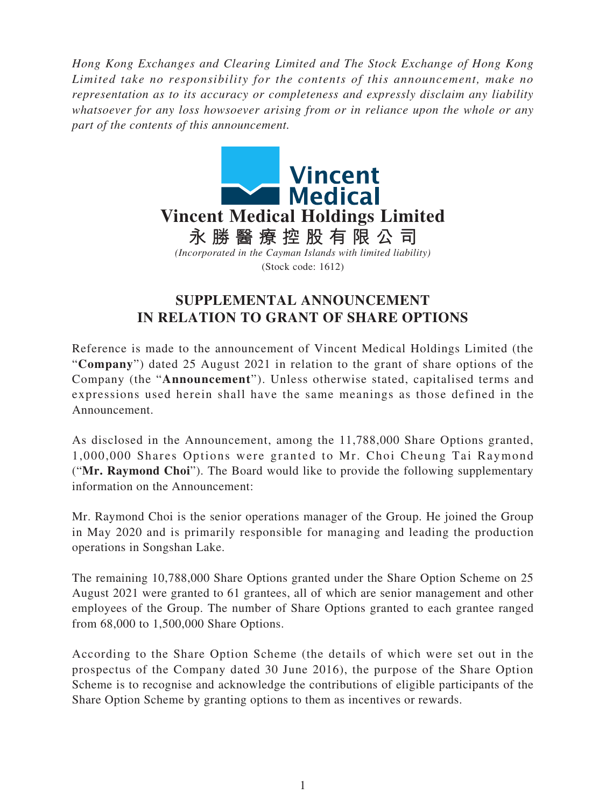*Hong Kong Exchanges and Clearing Limited and The Stock Exchange of Hong Kong Limited take no responsibility for the contents of this announcement, make no representation as to its accuracy or completeness and expressly disclaim any liability whatsoever for any loss howsoever arising from or in reliance upon the whole or any part of the contents of this announcement.*



## **SUPPLEMENTAL ANNOUNCEMENT IN RELATION TO GRANT OF SHARE OPTIONS**

Reference is made to the announcement of Vincent Medical Holdings Limited (the "**Company**") dated 25 August 2021 in relation to the grant of share options of the Company (the "**Announcement**"). Unless otherwise stated, capitalised terms and expressions used herein shall have the same meanings as those defined in the Announcement.

As disclosed in the Announcement, among the 11,788,000 Share Options granted, 1,000,000 Shares Options were granted to Mr. Choi Cheung Tai Raymond ("**Mr. Raymond Choi**"). The Board would like to provide the following supplementary information on the Announcement:

Mr. Raymond Choi is the senior operations manager of the Group. He joined the Group in May 2020 and is primarily responsible for managing and leading the production operations in Songshan Lake.

The remaining 10,788,000 Share Options granted under the Share Option Scheme on 25 August 2021 were granted to 61 grantees, all of which are senior management and other employees of the Group. The number of Share Options granted to each grantee ranged from 68,000 to 1,500,000 Share Options.

According to the Share Option Scheme (the details of which were set out in the prospectus of the Company dated 30 June 2016), the purpose of the Share Option Scheme is to recognise and acknowledge the contributions of eligible participants of the Share Option Scheme by granting options to them as incentives or rewards.